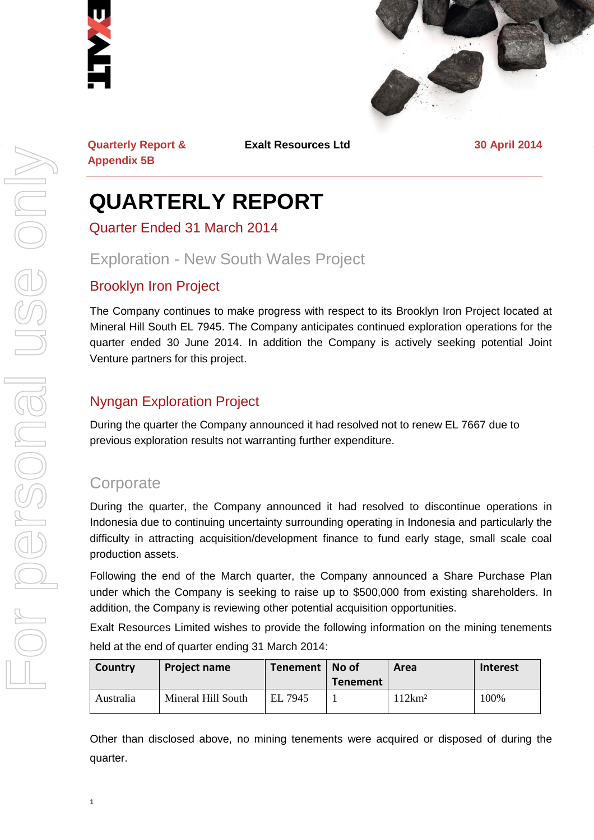



**Quarterly Report & Appendix 5B**

**Exalt Resources Ltd 30 April 2014**

# **QUARTERLY REPORT**

Quarter Ended 31 March 2014

# Exploration - New South Wales Project

## Brooklyn Iron Project

The Company continues to make progress with respect to its Brooklyn Iron Project located at Mineral Hill South EL 7945. The Company anticipates continued exploration operations for the quarter ended 30 June 2014. In addition the Company is actively seeking potential Joint Venture partners for this project.

# Nyngan Exploration Project

During the quarter the Company announced it had resolved not to renew EL 7667 due to previous exploration results not warranting further expenditure.

# **Corporate**

During the quarter, the Company announced it had resolved to discontinue operations in Indonesia due to continuing uncertainty surrounding operating in Indonesia and particularly the difficulty in attracting acquisition/development finance to fund early stage, small scale coal production assets.

Following the end of the March quarter, the Company announced a Share Purchase Plan under which the Company is seeking to raise up to \$500,000 from existing shareholders. In addition, the Company is reviewing other potential acquisition opportunities.

Exalt Resources Limited wishes to provide the following information on the mining tenements held at the end of quarter ending 31 March 2014:

| Country   | <b>Project name</b> | Tenement   No of | <b>Tenement</b> | Area               | Interest |
|-----------|---------------------|------------------|-----------------|--------------------|----------|
| Australia | Mineral Hill South  | EL 7945          |                 | 112km <sup>2</sup> | 100%     |

Other than disclosed above, no mining tenements were acquired or disposed of during the quarter.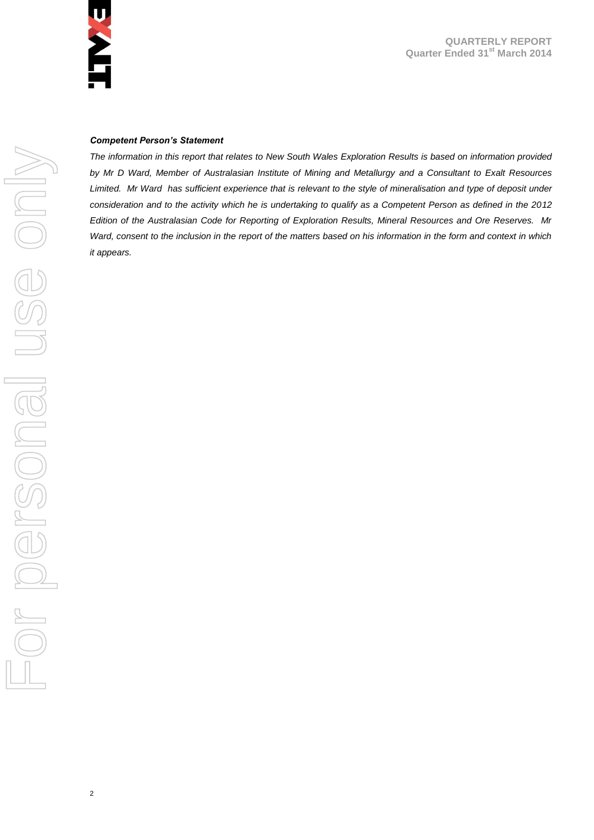

#### *Competent Person's Statement*

*The information in this report that relates to New South Wales Exploration Results is based on information provided by Mr D Ward, Member of Australasian Institute of Mining and Metallurgy and a Consultant to Exalt Resources*  Limited. Mr Ward has sufficient experience that is relevant to the style of mineralisation and type of deposit under *consideration and to the activity which he is undertaking to qualify as a Competent Person as defined in the 2012 Edition of the Australasian Code for Reporting of Exploration Results, Mineral Resources and Ore Reserves. Mr Ward, consent to the inclusion in the report of the matters based on his information in the form and context in which it appears.*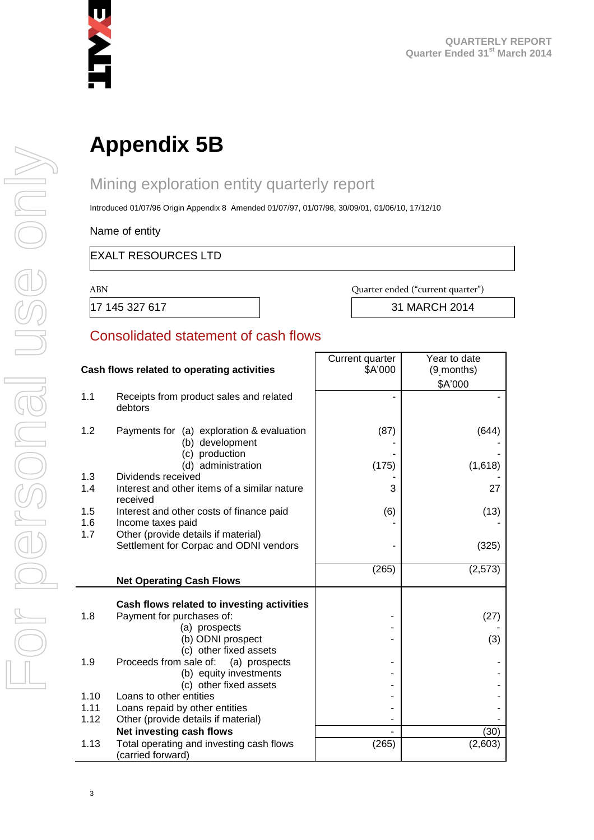

# **Appendix 5B**

# Mining exploration entity quarterly report

Introduced 01/07/96 Origin Appendix 8 Amended 01/07/97, 01/07/98, 30/09/01, 01/06/10, 17/12/10

Name of entity

#### EXALT RESOURCES LTD

ABN Quarter ended ("current quarter")

17 145 327 617 31 MARCH 2014

#### Consolidated statement of cash flows

|      | Cash flows related to operating activities                    | Current quarter<br>\$A'000 | Year to date<br>(9 months) |
|------|---------------------------------------------------------------|----------------------------|----------------------------|
|      |                                                               |                            |                            |
|      |                                                               |                            | \$A'000                    |
| 1.1  | Receipts from product sales and related<br>debtors            |                            |                            |
| 1.2  | Payments for (a) exploration & evaluation                     | (87)                       | (644)                      |
|      | (b) development<br>(c) production                             |                            |                            |
|      | (d) administration                                            | (175)                      | (1,618)                    |
| 1.3  | Dividends received                                            |                            |                            |
| 1.4  | Interest and other items of a similar nature<br>received      | 3                          | 27                         |
| 1.5  | Interest and other costs of finance paid                      | (6)                        | (13)                       |
| 1.6  | Income taxes paid                                             |                            |                            |
| 1.7  | Other (provide details if material)                           |                            |                            |
|      | Settlement for Corpac and ODNI vendors                        |                            | (325)                      |
|      |                                                               | (265)                      | (2, 573)                   |
|      | <b>Net Operating Cash Flows</b>                               |                            |                            |
|      |                                                               |                            |                            |
|      | Cash flows related to investing activities                    |                            |                            |
| 1.8  | Payment for purchases of:                                     |                            | (27)                       |
|      | (a) prospects<br>(b) ODNI prospect                            |                            |                            |
|      | (c) other fixed assets                                        |                            | (3)                        |
| 1.9  | Proceeds from sale of:<br>(a) prospects                       |                            |                            |
|      | (b) equity investments                                        |                            |                            |
|      | (c) other fixed assets                                        |                            |                            |
| 1.10 | Loans to other entities                                       |                            |                            |
| 1.11 | Loans repaid by other entities                                |                            |                            |
| 1.12 | Other (provide details if material)                           |                            |                            |
|      | Net investing cash flows                                      |                            | (30)                       |
| 1.13 | Total operating and investing cash flows<br>(carried forward) | (265)                      | (2,603)                    |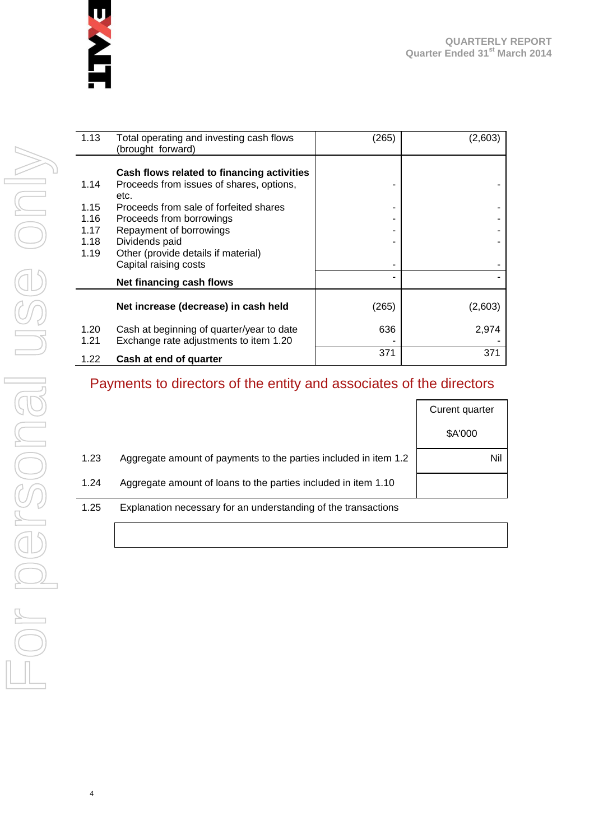

| 1.13 | Total operating and investing cash flows<br>(brought forward) | (265) | (2,603) |
|------|---------------------------------------------------------------|-------|---------|
|      | Cash flows related to financing activities                    |       |         |
| 1.14 | Proceeds from issues of shares, options,<br>etc.              |       |         |
| 1.15 | Proceeds from sale of forfeited shares                        |       |         |
| 1.16 | Proceeds from borrowings                                      |       |         |
| 1.17 | Repayment of borrowings                                       |       |         |
| 1.18 | Dividends paid                                                |       |         |
| 1.19 | Other (provide details if material)                           |       |         |
|      | Capital raising costs                                         |       |         |
|      | Net financing cash flows                                      |       |         |
|      | Net increase (decrease) in cash held                          | (265) | (2,603) |
| 1.20 | Cash at beginning of quarter/year to date                     | 636   | 2,974   |
| 1.21 | Exchange rate adjustments to item 1.20                        |       |         |
| 1.22 | Cash at end of quarter                                        | 371   | 371     |

# Payments to directors of the entity and associates of the directors

|      |                                                                  | Curent quarter |
|------|------------------------------------------------------------------|----------------|
|      |                                                                  | \$A'000        |
| 1.23 | Aggregate amount of payments to the parties included in item 1.2 | Nil            |
| 1.24 | Aggregate amount of loans to the parties included in item 1.10   |                |
| 1.25 | Explanation necessary for an understanding of the transactions   |                |

4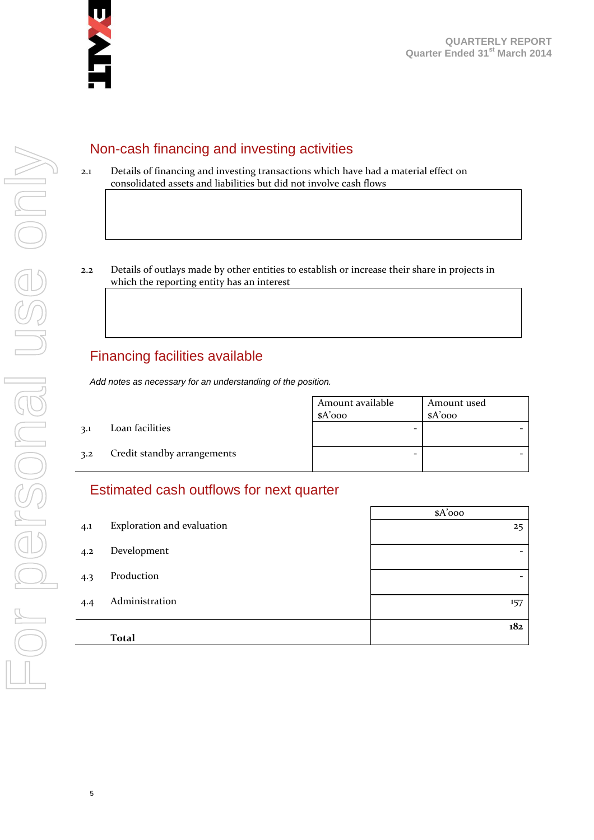

## Non-cash financing and investing activities

- 2.1 Details of financing and investing transactions which have had a material effect on consolidated assets and liabilities but did not involve cash flows
- 2.2 Details of outlays made by other entities to establish or increase their share in projects in which the reporting entity has an interest

### Financing facilities available

*Add notes as necessary for an understanding of the position.*

Amount available \$A'000 Amount used \$A'000 3.1 Loan facilities - - 3.2 Credit standby arrangements and  $\vert$  -  $\vert$  -  $\vert$  -  $\vert$  -  $\vert$  -  $\vert$  -  $\vert$  -  $\vert$  -  $\vert$  -  $\vert$  -  $\vert$  -  $\vert$  -  $\vert$  -  $\vert$  -  $\vert$  -  $\vert$  -  $\vert$  -  $\vert$  -  $\vert$  -  $\vert$  -  $\vert$  -  $\vert$  -  $\vert$  -  $\vert$  -  $\vert$  -  $\vert$  -  $\vert$ 

### Estimated cash outflows for next quarter

|     |                            | $A'$ 000 |
|-----|----------------------------|----------|
| 4.1 | Exploration and evaluation | 25       |
| 4.2 | Development                | -        |
| 4.3 | Production                 | -        |
| 4.4 | Administration             | 157      |
|     |                            | 182      |
|     | <b>Total</b>               |          |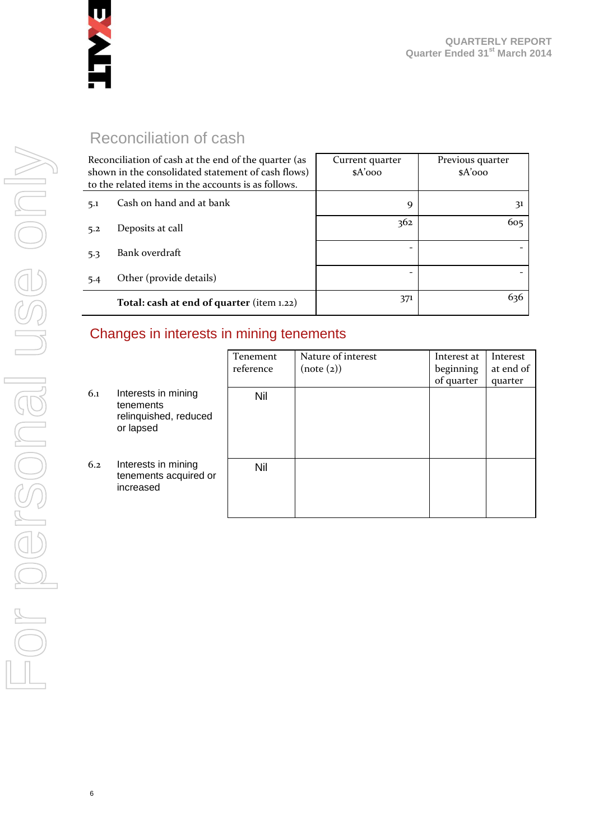

# Reconciliation of cash

| Reconciliation of cash at the end of the quarter (as<br>shown in the consolidated statement of cash flows)<br>to the related items in the accounts is as follows. |                                           | Current quarter<br>$A'$ 000 | Previous quarter<br>$A'$ 000 |
|-------------------------------------------------------------------------------------------------------------------------------------------------------------------|-------------------------------------------|-----------------------------|------------------------------|
| 5.1                                                                                                                                                               | Cash on hand and at bank                  | 9                           | 31                           |
| 5.2                                                                                                                                                               | Deposits at call                          | 362                         | 605                          |
| 5.3                                                                                                                                                               | Bank overdraft                            |                             |                              |
| 5.4                                                                                                                                                               | Other (provide details)                   | $\qquad \qquad$             |                              |
|                                                                                                                                                                   | Total: cash at end of quarter (item 1.22) | 371                         | 636                          |

#### Changes in interests in mining tenements

|     |                                                                        | Tenement<br>reference | Nature of interest<br>(note (2)) | Interest at<br>beginning | Interest<br>at end of |
|-----|------------------------------------------------------------------------|-----------------------|----------------------------------|--------------------------|-----------------------|
| 6.1 | Interests in mining<br>tenements<br>relinquished, reduced<br>or lapsed | Nil                   |                                  | of quarter               | quarter               |
| 6.2 | Interests in mining<br>tenements acquired or<br>increased              | Nil                   |                                  |                          |                       |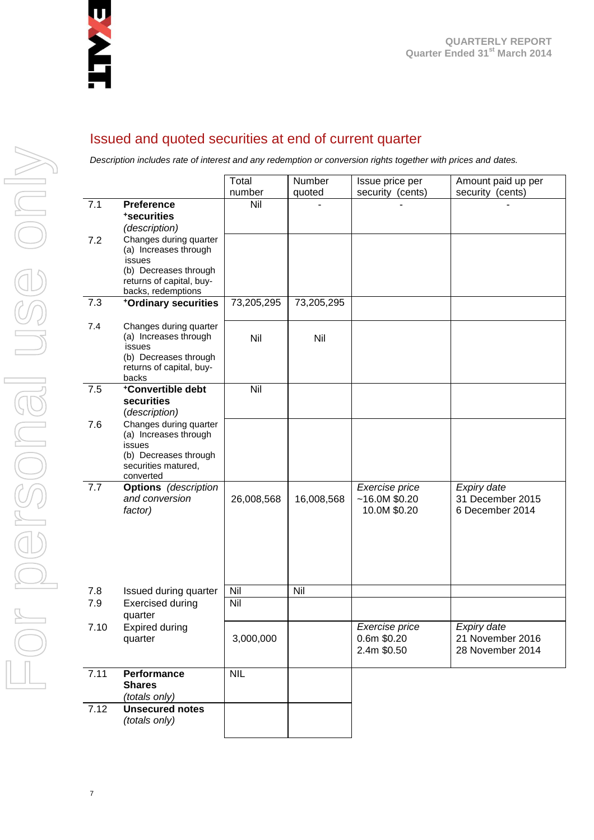

#### Issued and quoted securities at end of current quarter

*Description includes rate of interest and any redemption or conversion rights together with prices and dates.*

|      |                                                                                                                                      | Total      | Number     | Issue price per                                 | Amount paid up per                                  |
|------|--------------------------------------------------------------------------------------------------------------------------------------|------------|------------|-------------------------------------------------|-----------------------------------------------------|
|      | <b>Preference</b>                                                                                                                    | number     | quoted     | security (cents)                                | security (cents)                                    |
| 7.1  | *securities<br>(description)                                                                                                         | Nil        |            |                                                 |                                                     |
| 7.2  | Changes during quarter<br>(a) Increases through<br>issues<br>(b) Decreases through<br>returns of capital, buy-<br>backs, redemptions |            |            |                                                 |                                                     |
| 7.3  | +Ordinary securities                                                                                                                 | 73,205,295 | 73,205,295 |                                                 |                                                     |
| 7.4  | Changes during quarter<br>(a) Increases through<br>issues<br>(b) Decreases through<br>returns of capital, buy-<br>backs              | Nil        | Nil        |                                                 |                                                     |
| 7.5  | +Convertible debt<br>securities<br>(description)                                                                                     | Nil        |            |                                                 |                                                     |
| 7.6  | Changes during quarter<br>(a) Increases through<br>issues<br>(b) Decreases through<br>securities matured,<br>converted               |            |            |                                                 |                                                     |
| 7.7  | <b>Options</b> (description<br>and conversion<br>factor)                                                                             | 26,008,568 | 16,008,568 | Exercise price<br>~16.0M~\$0.20<br>10.0M \$0.20 | Expiry date<br>31 December 2015<br>6 December 2014  |
| 7.8  | Issued during quarter                                                                                                                | Nil        | Nil        |                                                 |                                                     |
| 7.9  | <b>Exercised during</b><br>quarter                                                                                                   | Nil        |            |                                                 |                                                     |
| 7.10 | <b>Expired during</b><br>quarter                                                                                                     | 3,000,000  |            | Exercise price<br>0.6m \$0.20<br>2.4m \$0.50    | Expiry date<br>21 November 2016<br>28 November 2014 |
| 7.11 | Performance<br><b>Shares</b><br>(totals only)                                                                                        | <b>NIL</b> |            |                                                 |                                                     |
| 7.12 | <b>Unsecured notes</b><br>(totals only)                                                                                              |            |            |                                                 |                                                     |